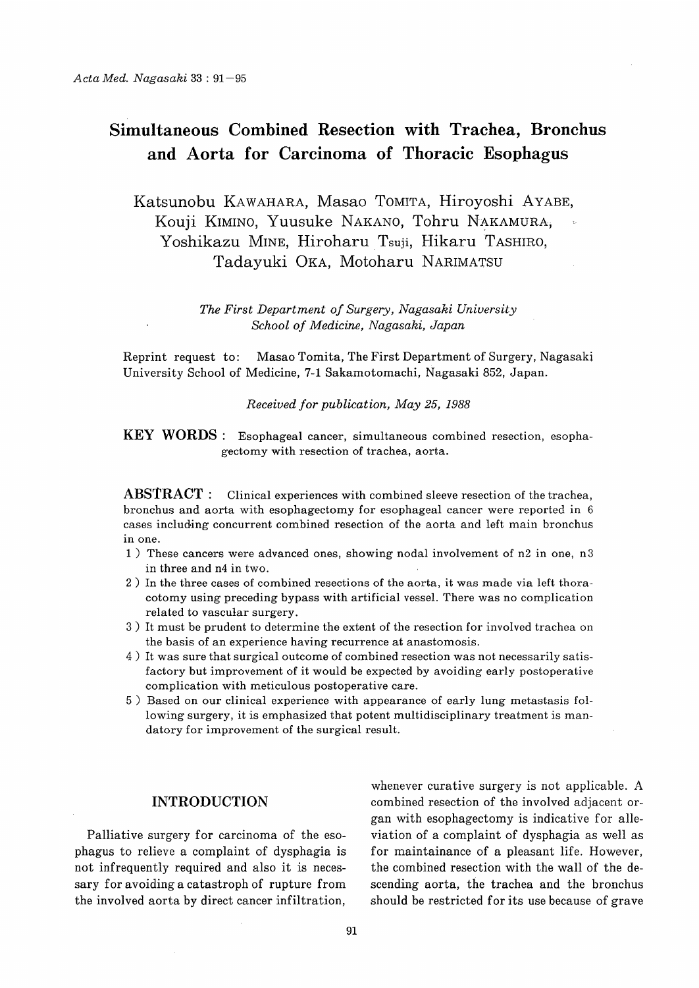# Simultaneous Combined Resection with Trachea, Bronchus and Aorta for Carcinoma of Thoracic Esophagus

Katsunobu KAWAHARA, Masao TOMITA, Hiroyoshi AYABE, Kouji KIMINO, Yuusuke NAKANO, Tohru NAKAMURA, Yoshikazu MINE, Hiroharu Tsuji, Hikaru TASHIRO, Tadayuki OKA, Motoharu NARIMATSU

> The First Department of Surgery, Nagasaki University School of Medicine, Nagasaki, Japan

Reprint request to: Masao Tomita, The First Department of Surgery, Nagasaki University School of Medicine, 7-1 Sakamotomachi, Nagasaki 852, Japan.

#### Received for publication, May 25, 1988

KEY WORDS : Esophageal cancer, simultaneous combined resection, esophagectomy with resection of trachea, aorta.

 $ABSTRACT:$  Clinical experiences with combined sleeve resection of the trachea, bronchus and aorta with esophagectomy for esophageal cancer were reported in 6 cases including concurrent combined resection of the aorta and left main bronchus in one.

- 1) These cancers were advanced ones, showing nodal involvement of n2 in one, n3 in three and n4 in two.
- 2) In the three cases of combined resections of the aorta, it was made via left thoracotomy using preceding bypass with artificial vessel. There was no complication related to vascular surgery.
- 3) It must be prudent to determine the extent of the resection for involved trachea on the basis of an experience having recurrence at anastomosis.
- 4) It was sure that surgical outcome of combined resection was not necessarily satisfactory but improvement of it would be expected by avoiding early postoperative complication with meticulous postoperative care.
- 5) Based on our clinical experience with appearance of early lung metastasis following surgery, it is emphasized that potent multidisciplinary treatment is mandatory for improvement of the surgical result.

### INTRODUCTION

Palliative surgery for carcinoma of the esophagus to relieve a complaint of dysphagia is not infrequently required and also it is necessary for avoiding a catastroph of rupture from the involved aorta by direct cancer infiltration,

whenever curative surgery is not applicable. A combined resection of the involved adjacent organ with esophagectomy is indicative for alleviation of a complaint of dysphagia as well as for maintainance of a pleasant life. However, the combined resection with the wall of the descending aorta, the trachea and the bronchus should be restricted for its use because of grave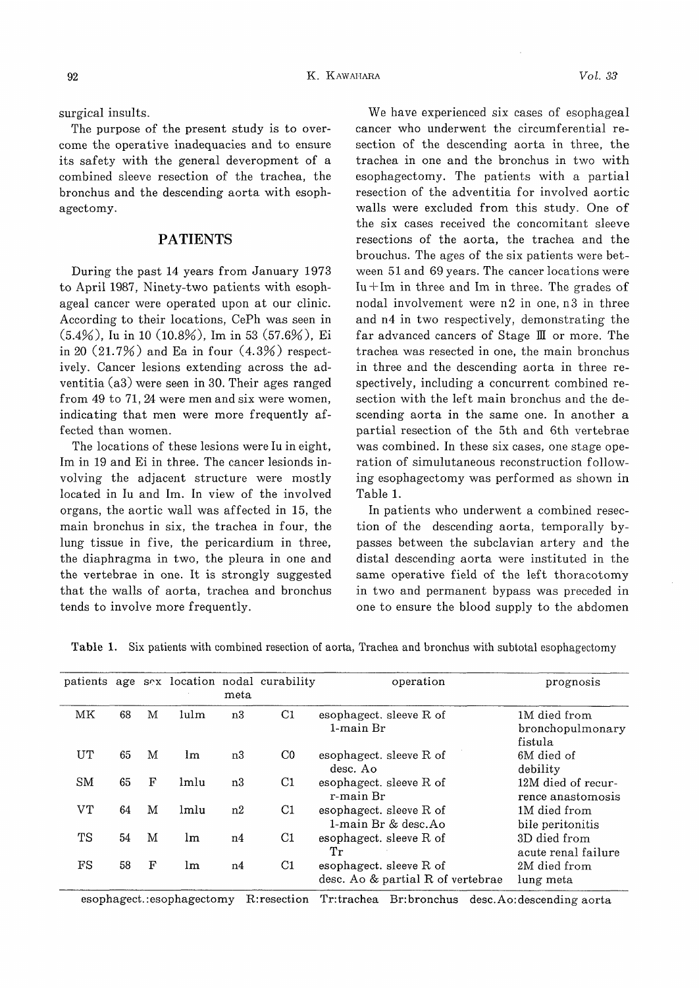surgical insults.

The purpose of the present study is to overcome the operative inadequacies and to ensure its safety with the general deveropment of a combined sleeve resection of the trachea, the bronchus and the descending aorta with esophagectomy.

## PATIENTS

During the past 14 years from January 1973 to April 1987, Ninety-two patients with esophageal cancer were operated upon at our clinic. According to their locations, CePh was seen in (5.4%), lu in 10 (10.8%), Im in 53 (57.6%), Ei in 20  $(21.7\%)$  and Ea in four  $(4.3\%)$  respectively. Cancer lesions extending across the adventitia (a3) were seen in 30. Their ages ranged from 49 to 71, 24 were men and six were women, indicating that men were more frequently affected than women.

The locations of these lesions were lu in eight, Im in 19 and Ei in three. The cancer lesionds involving the adjacent structure were mostly located in lu and Im. In view of the involved organs, the aortic wall was affected in 15, the main bronchus in six, the trachea in four, the lung tissue in five, the pericardium in three, the diaphragma in two, the pleura in one and the vertebrae in one. It is strongly suggested that the walls of aorta, trachea and bronchus tends to involve more frequently.

We have experienced six cases of esophageal cancer who underwent the circumferential resection of the descending aorta in three, the trachea in one and the bronchus in two with esophagectomy. The patients with a partial resection of the adventitia for involved aortic walls were excluded from this study. One of the six cases received the concomitant sleeve resections of the aorta, the trachea and the brouchus. The ages of the six patients were between 51 and 69 years. The cancer locations were Iu  $+$ Im in three and Im in three. The grades of nodal involvement were  $n2$  in one,  $n3$  in three and n4 in two respectively, demonstrating the far advanced cancers of Stage III or more. The trachea was resected in one, the main bronchus in three and the descending aorta in three respectively, including a concurrent combined resection with the left main bronchus and the descending aorta in the same one. In another a partial resection of the 5th and 6th vertebrae was combined. In these six cases, one stage operation of simulutaneous reconstruction following esophagectomy was performed as shown in Table 1.

In patients who underwent a combined resection of the descending aorta, temporally bypasses between the subclavian artery and the distal descending aorta were instituted in the same operative field of the left thoracotomy in two and permanent bypass was preceded in one to ensure the blood supply to the abdomen

|    |    |   |      | meta | patients age sex location nodal curability | operation                                                    | prognosis                                   |
|----|----|---|------|------|--------------------------------------------|--------------------------------------------------------------|---------------------------------------------|
| MK | 68 | M | lulm | n3   | C1                                         | esophagect, sleeve R of<br>1-main Br                         | 1M died from<br>bronchopulmonary<br>fistula |
| UT | 65 | M | lm   | n3   | $_{\rm CO}$                                | esophagect. sleeve R of<br>desc. Ao                          | 6M died of<br>debility                      |
| SM | 65 | F | lmlu | n3   | C1                                         | esophagect. sleeve R of<br>r-main Br                         | 12M died of recur-<br>rence anastomosis     |
| VТ | 64 | M | lmlu | n2   | C1                                         | esophagect, sleeve R of<br>1-main Br & desc.Ao               | 1M died from<br>bile peritonitis            |
| TS | 54 | M | lm   | n4   | C <sub>1</sub>                             | esophagect, sleeve R of<br>Тr                                | 3D died from<br>acute renal failure         |
| FS | 58 | F | lm   | n4   | C1                                         | esophagect. sleeve R of<br>desc. Ao & partial R of vertebrae | 2M died from<br>lung meta                   |

Table 1. Six patients with combined resection of aorta, Trachea and bronchus with subtotal esophagectomy

esophagect.:esophagectomy R:resection Tr:trachea Br:bronchus desc.Ao:descending aorta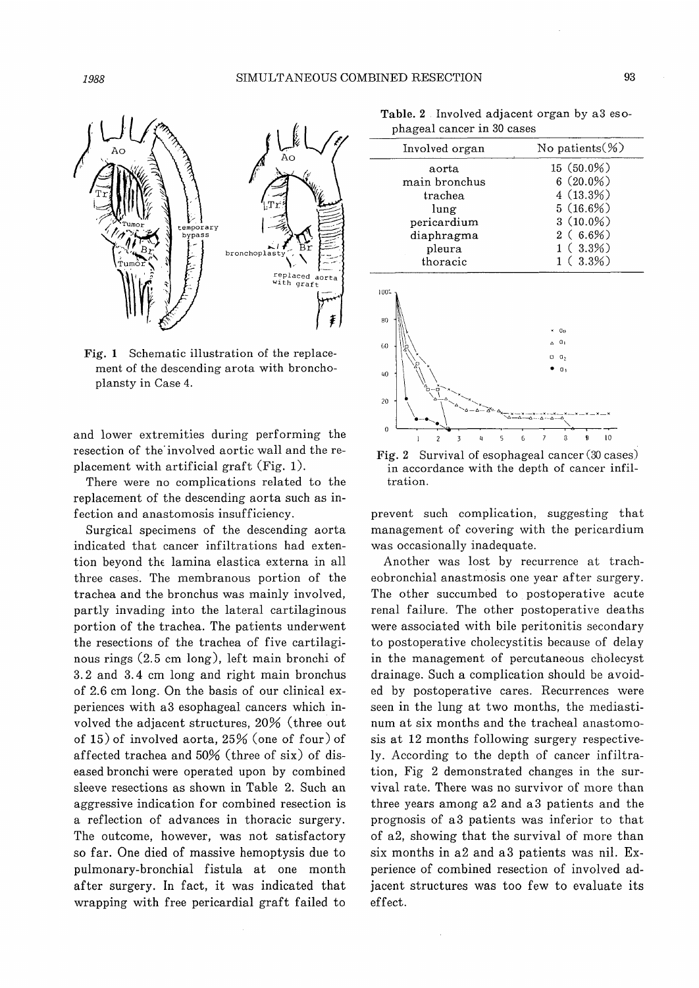

Fig. 1 Schematic illustration of the replacement of the descending arota with bronchoplansty in Case 4.

and lower extremities during performing the resection of the' involved aortic wall and the replacement with artificial graft (Fig. 1).

There were no complications related to the replacement of the descending aorta such as infection and anastomosis insufficiency.

Surgical specimens of the descending aorta indicated that cancer infiltrations had extention beyond the lamina elastica externa in all three cases. The membranous portion of the trachea and the bronchus was mainly involved, partly invading into the lateral cartilaginous portion of the trachea. The patients underwent the resections of the trachea of five cartilaginous rings (2.5 cm long), left main bronchi of 3.2 and 3.4 cm long and right main bronchus of 2.6 cm long. On the basis of our clinical experiences with a3 esophageal cancers which involved the adjacent structures, 20% (three out of 15) of involved aorta, 25% (one of four) of affected trachea and 50% (three of six) of diseased bronchi were operated upon by combined sleeve resections as shown in Table 2. Such an aggressive indication for combined resection is a reflection of advances in thoracic surgery. The outcome, however, was not satisfactory so far. One died of massive hemoptysis due to pulmonary-bronchial fistula at one month after surgery. In fact, it was indicated that wrapping with free pericardial graft failed to

Table. 2 . Involved adjacent organ by a3 esophageal cancer in 30 cases

| Involved organ | No patients $(\%)$ |  |
|----------------|--------------------|--|
| aorta          | $15(50.0\%)$       |  |
| main bronchus  | $6(20.0\%)$        |  |
| trachea        | 4(13.3%)           |  |
| lung           | 5(16.6%)           |  |
| pericardium    | $3(10.0\%)$        |  |
| diaphragma     | $2(6.6\%)$         |  |
| pleura         | $1(3.3\%)$         |  |
| thoracic       | $1(3.3\%)$         |  |



Fig. 2 Survival of esophageal cancer (30 cases) in accordance with the depth of cancer infiltration.

prevent such complication, suggesting that management of covering with the pericardium was occasionally inadequate.

Another was lost by recurrence at tracheobronchial anastmosis one year after surgery. The other succumbed to postoperative acute renal failure. The other postoperative deaths were associated with bile peritonitis secondary to postoperative cholecystitis because of delay in the management of percutaneous cholecyst drainage. Such a complication should be avoided by postoperative cares. Recurrences were seen in the lung at two months, the mediastinum at six months and the tracheal anastomosis at 12 months following surgery respectively. According to the depth of cancer infiltration, Fig 2 demonstrated changes in the survival rate. There was no survivor of more than three years among a2 and a3 patients and the prognosis of a3 patients was inferior to that of a2, showing that the survival of more than six months in a2 and a3 patients was nil. Experience of combined resection of involved adjacent structures was too few to evaluate its effect.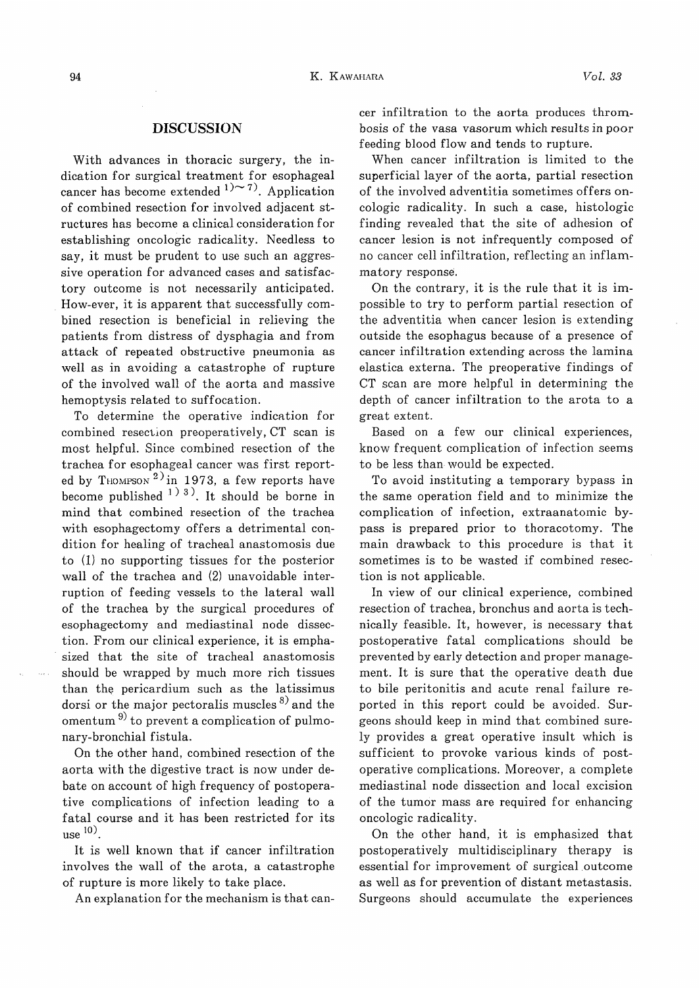#### DISCUSSION

With advances in thoracic surgery, the indication for surgical treatment for esophageal cancer has become extended  $1)$ ~7). Application of combined resection for involved adjacent structures has become a clinical consideration for establishing oncologic radicality. Needless to say, it must be prudent to use such an aggressive operation for advanced cases and satisfactory outcome is not necessarily anticipated. How-ever, it is apparent that successfully combined resection is beneficial in relieving the patients from distress of dysphagia and from attack of repeated obstructive pneumonia as well as in avoiding a catastrophe of rupture of the involved wall of the aorta and massive hemoptysis related to suffocation.

To determine the operative indication for combined resection preoperatively, CT scan is most helpful. Since combined resection of the trachea for esophageal cancer was first reported by THOMPSON<sup>2</sup>) in 1973, a few reports have become published  $(1)$  3). It should be borne in mind that combined resection of the trachea with esophagectomy offers a detrimental condition for healing of tracheal anastomosis due to (1) no supporting tissues for the posterior wall of the trachea and (2) unavoidable interruption of feeding vessels to the lateral wall of the trachea by the surgical procedures of esophagectomy and mediastinal node dissection. From our clinical experience, it is emphasized that the site of tracheal anastomosis should be wrapped by much more rich tissues than the pericardium such as the latissimus dorsi or the major pectoralis muscles  $8^{\circ}$  and the omentum<sup>9)</sup> to prevent a complication of pulmonary-bronchial fistula.

On the other hand, combined resection of the aorta with the digestive tract is now under debate on account of high frequency of postoperative complications of infection leading to a fatal course and it has been restricted for its use  $\frac{10}{2}$ .

It is well known that if cancer infiltration involves the wall of the arota, a catastrophe of rupture is more likely to take place.

An explanation for the mechanism is that can-

cer infiltration to the aorta produces thrombosis of the vasa vasorum which results in poor feeding blood flow and tends to rupture.

When cancer infiltration is limited to the superficial layer of the aorta, partial resection of the involved adventitia sometimes offers oncologic radicality. In such a case, histologic finding revealed that the site of adhesion of cancer lesion is not infrequently composed of no cancer cell infiltration, reflecting an inflammatory response.

On the contrary, it is the rule that it is impossible to try to perform partial resection of the adventitia when cancer lesion is extending outside the esophagus because of a presence of cancer infiltration extending across the lamina elastica externa. The preoperative findings of CT scan are more helpful in determining the depth of cancer infiltration to the arota to a great extent.

Based on a few our clinical experiences, know frequent complication of infection seems to be less than would be expected.

To avoid instituting a temporary bypass in the same operation field and to minimize the complication of infection, extraanatomic bypass is prepared prior to thoracotomy. The main drawback to this procedure is that it sometimes is to be wasted if combined resection is not applicable.

In view of our clinical experience, combined resection of trachea, bronchus and aorta is technically feasible. It, however, is necessary that postoperative fatal complications should be prevented by early detection and proper management. It is sure that the operative death due to bile peritonitis and acute renal failure reported in this report could be avoided. Surgeons should keep in mind that combined surely provides a great operative insult which is sufficient to provoke various kinds of postoperative complications. Moreover, a complete mediastinal node dissection and local excision of the tumor mass are required for enhancing oncologic radicality.

On the other hand, it is emphasized that postoperatively multidisciplinary therapy is essential for improvement of surgical. outcome as well as for prevention of distant metastasis. Surgeons should accumulate the experiences